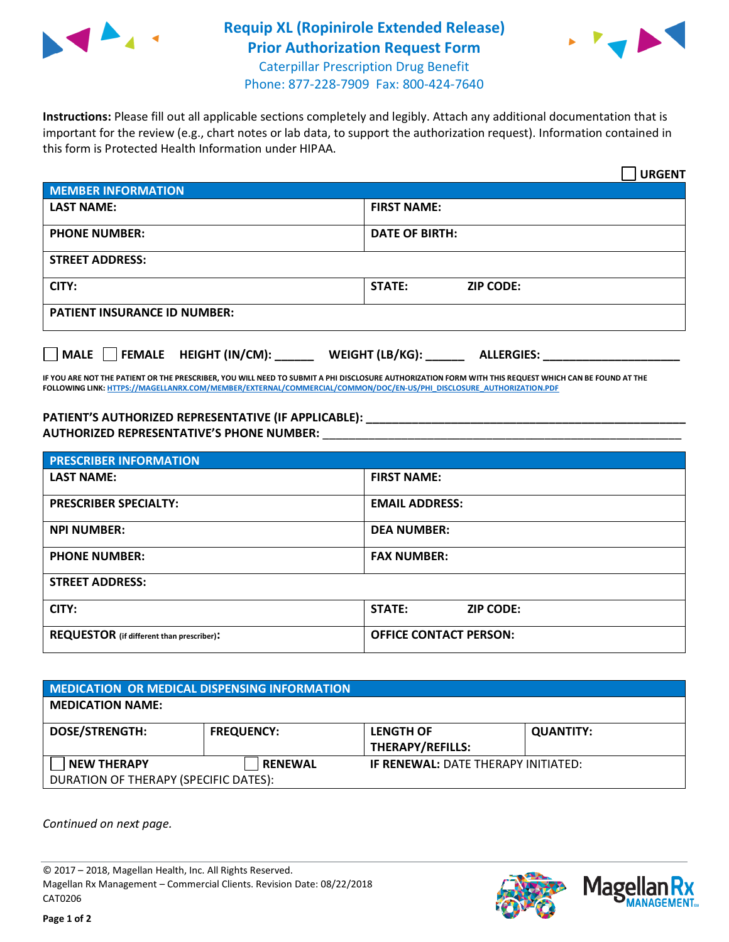

## **Requip XL (Ropinirole Extended Release) Prior Authorization Request Form** Caterpillar Prescription Drug Benefit



Phone: 877-228-7909 Fax: 800-424-7640

**Instructions:** Please fill out all applicable sections completely and legibly. Attach any additional documentation that is important for the review (e.g., chart notes or lab data, to support the authorization request). Information contained in this form is Protected Health Information under HIPAA.

|                                       | <b>URGENT</b>                        |  |  |  |
|---------------------------------------|--------------------------------------|--|--|--|
| <b>MEMBER INFORMATION</b>             |                                      |  |  |  |
| <b>LAST NAME:</b>                     | <b>FIRST NAME:</b>                   |  |  |  |
| <b>PHONE NUMBER:</b>                  | <b>DATE OF BIRTH:</b>                |  |  |  |
| <b>STREET ADDRESS:</b>                |                                      |  |  |  |
| CITY:                                 | <b>STATE:</b><br><b>ZIP CODE:</b>    |  |  |  |
| <b>PATIENT INSURANCE ID NUMBER:</b>   |                                      |  |  |  |
| FEMALE HEIGHT (IN/CM):<br><b>MALE</b> | WEIGHT (LB/KG):<br><b>ALLERGIES:</b> |  |  |  |

**IF YOU ARE NOT THE PATIENT OR THE PRESCRIBER, YOU WILL NEED TO SUBMIT A PHI DISCLOSURE AUTHORIZATION FORM WITH THIS REQUEST WHICH CAN BE FOUND AT THE FOLLOWING LINK[: HTTPS://MAGELLANRX.COM/MEMBER/EXTERNAL/COMMERCIAL/COMMON/DOC/EN-US/PHI\\_DISCLOSURE\\_AUTHORIZATION.PDF](https://magellanrx.com/member/external/commercial/common/doc/en-us/PHI_Disclosure_Authorization.pdf)**

PATIENT'S AUTHORIZED REPRESENTATIVE (IF APPLICABLE): **AUTHORIZED REPRESENTATIVE'S PHONE NUMBER:** \_\_\_\_\_\_\_\_\_\_\_\_\_\_\_\_\_\_\_\_\_\_\_\_\_\_\_\_\_\_\_\_\_\_\_\_\_\_\_\_\_\_\_\_\_\_\_\_\_\_\_\_\_\_\_

| <b>PRESCRIBER INFORMATION</b>             |                               |  |  |  |
|-------------------------------------------|-------------------------------|--|--|--|
| <b>LAST NAME:</b>                         | <b>FIRST NAME:</b>            |  |  |  |
| <b>PRESCRIBER SPECIALTY:</b>              | <b>EMAIL ADDRESS:</b>         |  |  |  |
| <b>NPI NUMBER:</b>                        | <b>DEA NUMBER:</b>            |  |  |  |
| <b>PHONE NUMBER:</b>                      | <b>FAX NUMBER:</b>            |  |  |  |
| <b>STREET ADDRESS:</b>                    |                               |  |  |  |
| CITY:                                     | STATE:<br><b>ZIP CODE:</b>    |  |  |  |
| REQUESTOR (if different than prescriber): | <b>OFFICE CONTACT PERSON:</b> |  |  |  |

| MEDICATION OR MEDICAL DISPENSING INFORMATION |                   |                                            |                  |  |  |
|----------------------------------------------|-------------------|--------------------------------------------|------------------|--|--|
| <b>MEDICATION NAME:</b>                      |                   |                                            |                  |  |  |
| <b>DOSE/STRENGTH:</b>                        | <b>FREQUENCY:</b> | <b>LENGTH OF</b>                           | <b>QUANTITY:</b> |  |  |
|                                              |                   | <b>THERAPY/REFILLS:</b>                    |                  |  |  |
| <b>NEW THERAPY</b>                           | <b>RENEWAL</b>    | <b>IF RENEWAL: DATE THERAPY INITIATED:</b> |                  |  |  |
| DURATION OF THERAPY (SPECIFIC DATES):        |                   |                                            |                  |  |  |

*Continued on next page.*

© 2017 – 2018, Magellan Health, Inc. All Rights Reserved. Magellan Rx Management – Commercial Clients. Revision Date: 08/22/2018 CAT0206